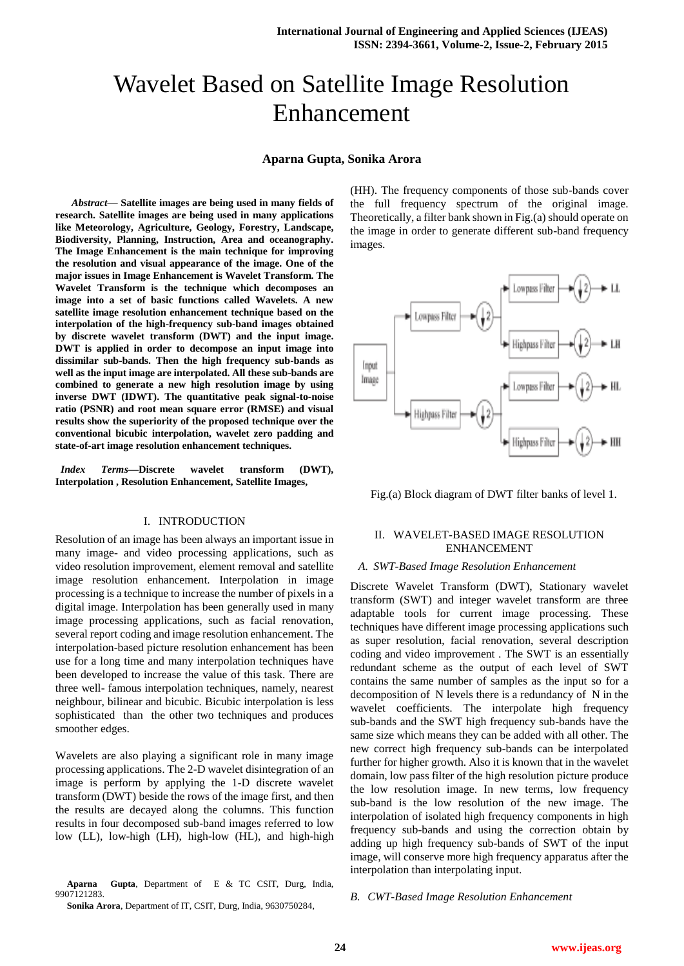# Wavelet Based on Satellite Image Resolution Enhancement

## **Aparna Gupta, Sonika Arora**

*Abstract***— Satellite images are being used in many fields of research. Satellite images are being used in many applications like Meteorology, Agriculture, Geology, Forestry, Landscape, Biodiversity, Planning, Instruction, Area and oceanography. The Image Enhancement is the main technique for improving the resolution and visual appearance of the image. One of the major issues in Image Enhancement is Wavelet Transform. The Wavelet Transform is the technique which decomposes an image into a set of basic functions called Wavelets. A new satellite image resolution enhancement technique based on the interpolation of the high-frequency sub-band images obtained by discrete wavelet transform (DWT) and the input image. DWT is applied in order to decompose an input image into dissimilar sub-bands. Then the high frequency sub-bands as well as the input image are interpolated. All these sub-bands are combined to generate a new high resolution image by using inverse DWT (IDWT). The quantitative peak signal-to-noise ratio (PSNR) and root mean square error (RMSE) and visual results show the superiority of the proposed technique over the conventional bicubic interpolation, wavelet zero padding and state-of-art image resolution enhancement techniques.**

*Index Terms***—Discrete wavelet transform (DWT), Interpolation , Resolution Enhancement, Satellite Images,** 

## I. INTRODUCTION

Resolution of an image has been always an important issue in many image- and video processing applications, such as video resolution improvement, element removal and satellite image resolution enhancement. Interpolation in image processing is a technique to increase the number of pixels in a digital image. Interpolation has been generally used in many image processing applications, such as facial renovation, several report coding and image resolution enhancement. The interpolation-based picture resolution enhancement has been use for a long time and many interpolation techniques have been developed to increase the value of this task. There are three well- famous interpolation techniques, namely, nearest neighbour, bilinear and bicubic. Bicubic interpolation is less sophisticated than the other two techniques and produces smoother edges.

Wavelets are also playing a significant role in many image processing applications. The 2-D wavelet disintegration of an image is perform by applying the 1-D discrete wavelet transform (DWT) beside the rows of the image first, and then the results are decayed along the columns. This function results in four decomposed sub-band images referred to low low (LL), low-high (LH), high-low (HL), and high-high

**Aparna Gupta**, Department of E & TC CSIT, Durg, India, 9907121283.

**Sonika Arora**, Department of IT, CSIT, Durg, India, 9630750284,

(HH). The frequency components of those sub-bands cover the full frequency spectrum of the original image. Theoretically, a filter bank shown in Fig.(a) should operate on the image in order to generate different sub-band frequency images.



Fig.(a) Block diagram of DWT filter banks of level 1.

# II. WAVELET-BASED IMAGE RESOLUTION ENHANCEMENT

# *A. SWT-Based Image Resolution Enhancement*

Discrete Wavelet Transform (DWT), Stationary wavelet transform (SWT) and integer wavelet transform are three adaptable tools for current image processing. These techniques have different image processing applications such as super resolution, facial renovation, several description coding and video improvement . The SWT is an essentially redundant scheme as the output of each level of SWT contains the same number of samples as the input so for a decomposition of N levels there is a redundancy of N in the wavelet coefficients. The interpolate high frequency sub-bands and the SWT high frequency sub-bands have the same size which means they can be added with all other. The new correct high frequency sub-bands can be interpolated further for higher growth. Also it is known that in the wavelet domain, low pass filter of the high resolution picture produce the low resolution image. In new terms, low frequency sub-band is the low resolution of the new image. The interpolation of isolated high frequency components in high frequency sub-bands and using the correction obtain by adding up high frequency sub-bands of SWT of the input image, will conserve more high frequency apparatus after the interpolation than interpolating input.

*B. CWT-Based Image Resolution Enhancement*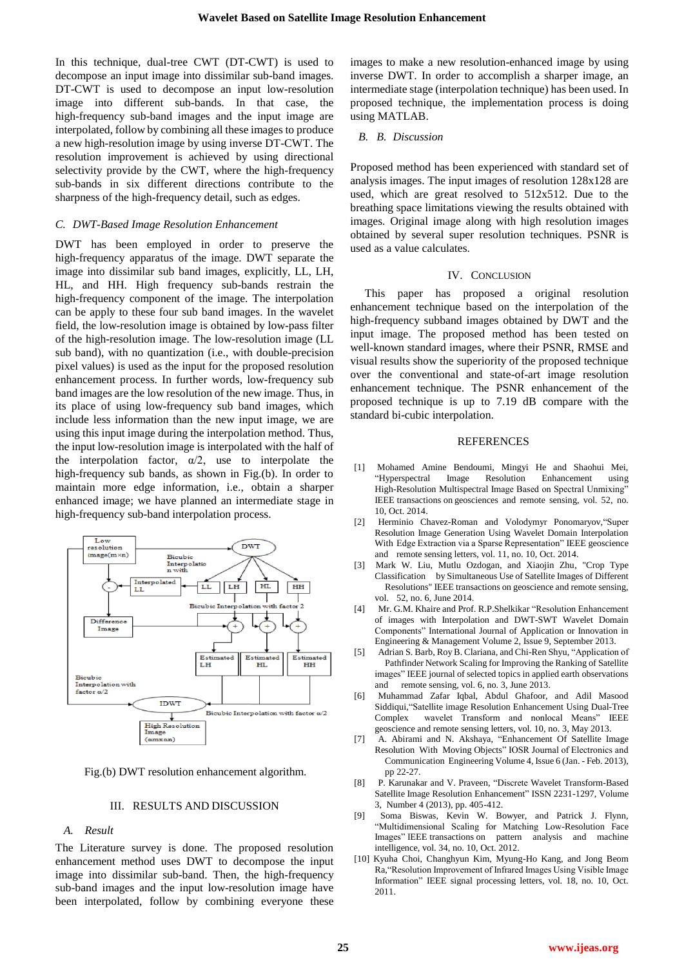In this technique, dual-tree CWT (DT-CWT) is used to decompose an input image into dissimilar sub-band images. DT-CWT is used to decompose an input low-resolution image into different sub-bands. In that case, the high-frequency sub-band images and the input image are interpolated, follow by combining all these images to produce a new high-resolution image by using inverse DT-CWT. The resolution improvement is achieved by using directional selectivity provide by the CWT, where the high-frequency sub-bands in six different directions contribute to the sharpness of the high-frequency detail, such as edges.

#### *C. DWT-Based Image Resolution Enhancement*

DWT has been employed in order to preserve the high-frequency apparatus of the image. DWT separate the image into dissimilar sub band images, explicitly, LL, LH, HL, and HH. High frequency sub-bands restrain the high-frequency component of the image. The interpolation can be apply to these four sub band images. In the wavelet field, the low-resolution image is obtained by low-pass filter of the high-resolution image. The low-resolution image (LL sub band), with no quantization (i.e., with double-precision pixel values) is used as the input for the proposed resolution enhancement process. In further words, low-frequency sub band images are the low resolution of the new image. Thus, in its place of using low-frequency sub band images, which include less information than the new input image, we are using this input image during the interpolation method. Thus, the input low-resolution image is interpolated with the half of the interpolation factor,  $\alpha/2$ , use to interpolate the high-frequency sub bands, as shown in Fig.(b). In order to maintain more edge information, i.e., obtain a sharper enhanced image; we have planned an intermediate stage in high-frequency sub-band interpolation process.



Fig.(b) DWT resolution enhancement algorithm.

#### III. RESULTS AND DISCUSSION

#### *A. Result*

The Literature survey is done. The proposed resolution enhancement method uses DWT to decompose the input image into dissimilar sub-band. Then, the high-frequency sub-band images and the input low-resolution image have been interpolated, follow by combining everyone these images to make a new resolution-enhanced image by using inverse DWT. In order to accomplish a sharper image, an intermediate stage (interpolation technique) has been used. In proposed technique, the implementation process is doing using MATLAB.

#### *B. B. Discussion*

Proposed method has been experienced with standard set of analysis images. The input images of resolution 128x128 are used, which are great resolved to 512x512. Due to the breathing space limitations viewing the results obtained with images. Original image along with high resolution images obtained by several super resolution techniques. PSNR is used as a value calculates.

## IV. CONCLUSION

This paper has proposed a original resolution enhancement technique based on the interpolation of the high-frequency subband images obtained by DWT and the input image. The proposed method has been tested on well-known standard images, where their PSNR, RMSE and visual results show the superiority of the proposed technique over the conventional and state-of-art image resolution enhancement technique. The PSNR enhancement of the proposed technique is up to 7.19 dB compare with the standard bi-cubic interpolation.

#### **REFERENCES**

- [1] Mohamed Amine Bendoumi, Mingyi He and Shaohui Mei, "Hyperspectral Image Resolution Enhancement using High-Resolution Multispectral Image Based on Spectral Unmixing' IEEE transactions on geosciences and remote sensing, vol. 52, no. 10, Oct. 2014.
- [2] Herminio Chavez-Roman and Volodymyr Ponomaryov,"Super Resolution Image Generation Using Wavelet Domain Interpolation With Edge Extraction via a Sparse Representation" IEEE geoscience and remote sensing letters, vol. 11, no. 10, Oct. 2014.
- [3] Mark W. Liu, Mutlu Ozdogan, and Xiaojin Zhu, "Crop Type Classification by Simultaneous Use of Satellite Images of Different Resolutions" IEEE transactions on geoscience and remote sensing, vol. 52, no. 6, June 2014.
- [4] Mr. G.M. Khaire and Prof. R.P.Shelkikar "Resolution Enhancement of images with Interpolation and DWT-SWT Wavelet Domain Components" International Journal of Application or Innovation in Engineering & Management Volume 2, Issue 9, September 2013.
- [5] Adrian S. Barb, Roy B. Clariana, and Chi-Ren Shyu, "Application of Pathfinder Network Scaling for Improving the Ranking of Satellite images" IEEE journal of selected topics in applied earth observations and remote sensing, vol. 6, no. 3, June 2013.
- [6] Muhammad Zafar Iqbal, Abdul Ghafoor, and Adil Masood Siddiqui,"Satellite image Resolution Enhancement Using Dual-Tree Complex wavelet Transform and nonlocal Means" IEEE geoscience and remote sensing letters, vol. 10, no. 3, May 2013.
- [7] A. Abirami and N. Akshaya, "Enhancement Of Satellite Image Resolution With Moving Objects" IOSR Journal of Electronics and Communication Engineering Volume 4, Issue 6 (Jan. - Feb. 2013), pp 22-27.
- [8] P. Karunakar and V. Praveen, "Discrete Wavelet Transform-Based Satellite Image Resolution Enhancement" ISSN 2231-1297, Volume 3, Number 4 (2013), pp. 405-412.
- [9] Soma Biswas, Kevin W. Bowyer, and Patrick J. Flynn, "Multidimensional Scaling for Matching Low-Resolution Face Images" IEEE transactions on pattern analysis and machine intelligence, vol. 34, no. 10, Oct. 2012.
- [10] Kyuha Choi, Changhyun Kim, Myung-Ho Kang, and Jong Beom Ra,"Resolution Improvement of Infrared Images Using Visible Image Information" IEEE signal processing letters, vol. 18, no. 10, Oct. 2011.